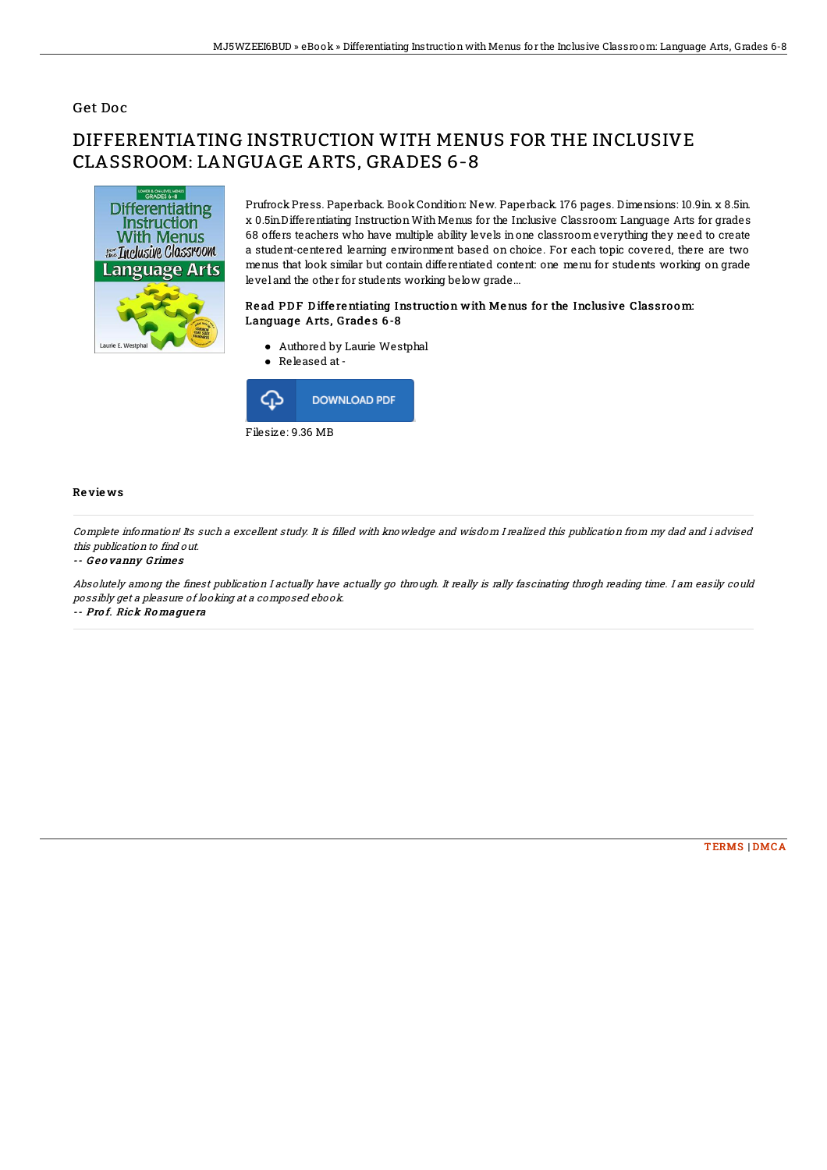## Get Doc

# DIFFERENTIATING INSTRUCTION WITH MENUS FOR THE INCLUSIVE CLASSROOM: LANGUAGE ARTS, GRADES 6-8



Prufrock Press. Paperback. Book Condition: New. Paperback. 176 pages. Dimensions: 10.9in. x 8.5in. x 0.5in.Differentiating InstructionWith Menus for the Inclusive Classroom: Language Arts for grades 68 offers teachers who have multiple ability levels inone classroom everything they need to create a student-centered learning environment based on choice. For each topic covered, there are two menus that look similar but contain differentiated content: one menu for students working on grade level and the other for students working below grade...

### Read PDF Differentiating Instruction with Menus for the Inclusive Classroom: Language Arts, Grades 6-8

- Authored by Laurie Westphal
- Released at-



#### Re vie ws

Complete information! Its such <sup>a</sup> excellent study. It is 9lled with knowledge and wisdom I realized this publication from my dad and i advised this publication to find out.

#### -- Geovanny Grimes

Absolutely among the finest publication I actually have actually go through. It really is rally fascinating throgh reading time. I am easily could possibly get <sup>a</sup> pleasure of looking at <sup>a</sup> composed ebook. -- Pro f. Rick Ro mague ra